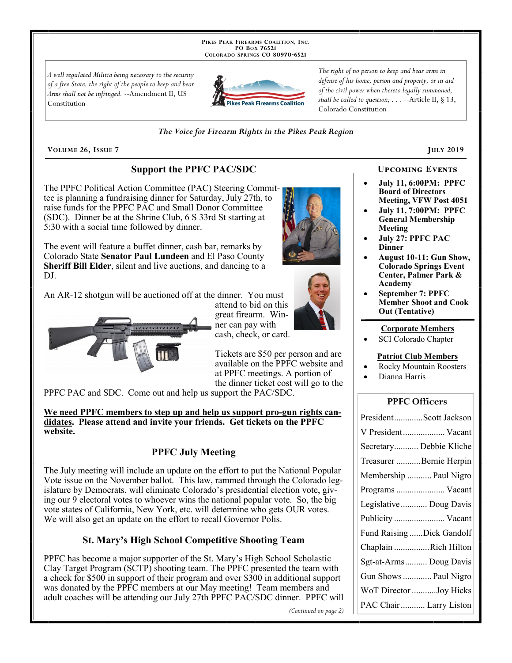PIKES PEAK FIREARMS COALITION, INC. PO Box 76521 COLORADO SPRINGS CO 80970-6521

A well regulated Militia being necessary to the security of a free State, the right of the people to keep and bear Arms shall not be infringed. -- Amendment II, US Constitution



The right of no person to keep and bear arms in defense of his home, person and property, or in aid of the civil power when thereto legally summoned, shall be called to question;  $\ldots$  --Article II, § 13, Colorado Constitution

#### The Voice for Firearm Rights in the Pikes Peak Region

VOLUME 26, ISSUE 7

## **Support the PPFC PAC/SDC**

The PPFC Political Action Committee (PAC) Steering Committee is planning a fundraising dinner for Saturday, July 27th, to raise funds for the PPFC PAC and Small Donor Committee (SDC). Dinner be at the Shrine Club, 6 S 33rd St starting at 5:30 with a social time followed by dinner.

The event will feature a buffet dinner, cash bar, remarks by Colorado State Senator Paul Lundeen and El Paso County Sheriff Bill Elder, silent and live auctions, and dancing to a DJ.

An AR-12 shotgun will be auctioned off at the dinner. You must



attend to bid on this great firearm. Winner can pay with cash, check, or card.

Tickets are \$50 per person and are available on the PPFC website and at PPFC meetings. A portion of the dinner ticket cost will go to the

PPFC PAC and SDC. Come out and help us support the PAC/SDC.

We need PPFC members to step up and help us support pro-gun rights candidates. Please attend and invite your friends. Get tickets on the PPFC website.

# **PPFC July Meeting**

The July meeting will include an update on the effort to put the National Popular Vote issue on the November ballot. This law, rammed through the Colorado legislature by Democrats, will eliminate Colorado's presidential election vote, giving our 9 electoral votes to whoever wins the national popular vote. So, the big vote states of California, New York, etc. will determine who gets OUR votes. We will also get an update on the effort to recall Governor Polis.

## **St. Mary's High School Competitive Shooting Team**

PPFC has become a major supporter of the St. Mary's High School Scholastic Clay Target Program (SCTP) shooting team. The PPFC presented the team with a check for \$500 in support of their program and over  $$300$  in additional support was donated by the PPFC members at our May meeting! Team members and adult coaches will be attending our July 27th PPFC PAC/SDC dinner. PPFC will

(Continued on page 2)

#### **UPCOMING EVENTS**

**JULY 2019** 

- **July 11, 6:00PM: PPFC Board of Directors** Meeting, VFW Post 4051
- **July 11, 7:00PM: PPFC General Membership** Meeting
- **July 27: PPFC PAC Dinner**
- **August 10-11: Gun Show, Colorado Springs Event** Center, Palmer Park & **Academy**
- **September 7: PPFC Member Shoot and Cook Out (Tentative)**

#### **Corporate Members**

SCI Colorado Chapter

#### **Patriot Club Members**

- **Rocky Mountain Roosters**
- Dianna Harris

## **PPFC Officers**

| PresidentScott Jackson    |
|---------------------------|
| V President Vacant        |
| Secretary Debbie Kliche   |
| Treasurer Bernie Herpin   |
| Membership  Paul Nigro    |
| Programs  Vacant          |
| Legislative  Doug Davis   |
|                           |
| Publicity  Vacant         |
| Fund Raising Dick Gandolf |
| Chaplain Rich Hilton      |
| Sgt-at-Arms  Doug Davis   |
| Gun Shows  Paul Nigro     |
| WoT Director Joy Hicks    |